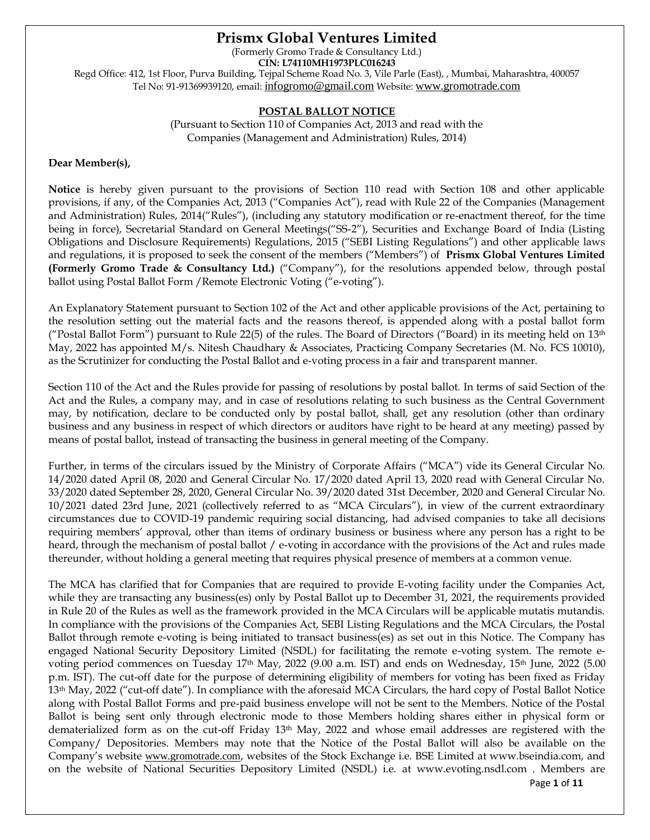# **Prismx Global Ventures Limited**

(Formerly Gromo Trade & Consultancy Ltd.)

**CIN: L74110MH1973PLC016243**

Regd Office: 412, 1st Floor, Purva Building, Tejpal Scheme Road No. 3, Vile Parle (East), , Mumbai, Maharashtra, 400057 Tel No: 91-91369939120, email: [infogromo@gmail.com](mailto:infogromo@gmail.com) Website: [www.gromotrade.com](http://www.gromotrade.com/)

## **POSTAL BALLOT NOTICE**

(Pursuant to Section 110 of Companies Act, 2013 and read with the Companies (Management and Administration) Rules, 2014)

# **Dear Member(s),**

**Notice** is hereby given pursuant to the provisions of Section 110 read with Section 108 and other applicable provisions, if any, of the Companies Act, 2013 ("Companies Act"), read with Rule 22 of the Companies (Management and Administration) Rules, 2014("Rules"), (including any statutory modification or re-enactment thereof, for the time being in force), Secretarial Standard on General Meetings("SS-2"), Securities and Exchange Board of India (Listing Obligations and Disclosure Requirements) Regulations, 2015 ("SEBI Listing Regulations") and other applicable laws and regulations, it is proposed to seek the consent of the members ("Members") of **Prismx Global Ventures Limited (Formerly Gromo Trade & Consultancy Ltd.)** ("Company"), for the resolutions appended below, through postal ballot using Postal Ballot Form /Remote Electronic Voting ("e-voting").

An Explanatory Statement pursuant to Section 102 of the Act and other applicable provisions of the Act, pertaining to the resolution setting out the material facts and the reasons thereof, is appended along with a postal ballot form ("Postal Ballot Form") pursuant to Rule 22(5) of the rules. The Board of Directors ("Board) in its meeting held on  $13<sup>th</sup>$ May, 2022 has appointed M/s. Nitesh Chaudhary & Associates, Practicing Company Secretaries (M. No. FCS 10010), as the Scrutinizer for conducting the Postal Ballot and e-voting process in a fair and transparent manner.

Section 110 of the Act and the Rules provide for passing of resolutions by postal ballot. In terms of said Section of the Act and the Rules, a company may, and in case of resolutions relating to such business as the Central Government may, by notification, declare to be conducted only by postal ballot, shall, get any resolution (other than ordinary business and any business in respect of which directors or auditors have right to be heard at any meeting) passed by means of postal ballot, instead of transacting the business in general meeting of the Company.

Further, in terms of the circulars issued by the Ministry of Corporate Affairs ("MCA") vide its General Circular No. 14/2020 dated April 08, 2020 and General Circular No. 17/2020 dated April 13, 2020 read with General Circular No. 33/2020 dated September 28, 2020, General Circular No. 39/2020 dated 31st December, 2020 and General Circular No. 10/2021 dated 23rd June, 2021 (collectively referred to as "MCA Circulars"), in view of the current extraordinary circumstances due to COVID-19 pandemic requiring social distancing, had advised companies to take all decisions requiring members' approval, other than items of ordinary business or business where any person has a right to be heard, through the mechanism of postal ballot / e-voting in accordance with the provisions of the Act and rules made thereunder, without holding a general meeting that requires physical presence of members at a common venue.

The MCA has clarified that for Companies that are required to provide E-voting facility under the Companies Act, while they are transacting any business(es) only by Postal Ballot up to December 31, 2021, the requirements provided in Rule 20 of the Rules as well as the framework provided in the MCA Circulars will be applicable mutatis mutandis. In compliance with the provisions of the Companies Act, SEBI Listing Regulations and the MCA Circulars, the Postal Ballot through remote e-voting is being initiated to transact business(es) as set out in this Notice. The Company has engaged National Security Depository Limited (NSDL) for facilitating the remote e-voting system. The remote evoting period commences on Tuesday 17<sup>th</sup> May, 2022 (9.00 a.m. IST) and ends on Wednesday, 15<sup>th</sup> June, 2022 (5.00 p.m. IST). The cut-off date for the purpose of determining eligibility of members for voting has been fixed as Friday 13<sup>th</sup> May, 2022 ("cut-off date"). In compliance with the aforesaid MCA Circulars, the hard copy of Postal Ballot Notice along with Postal Ballot Forms and pre-paid business envelope will not be sent to the Members. Notice of the Postal Ballot is being sent only through electronic mode to those Members holding shares either in physical form or dematerialized form as on the cut-off Friday 13<sup>th</sup> May, 2022 and whose email addresses are registered with the Company/ Depositories. Members may note that the Notice of the Postal Ballot will also be available on the Company's website [www.gromotrade.com](http://www.gromotrade.com/), websites of the Stock Exchange i.e. BSE Limited at www.bseindia.com, and on the website of National Securities Depository Limited (NSDL) i.e. at www.evoting.nsdl.com . Members are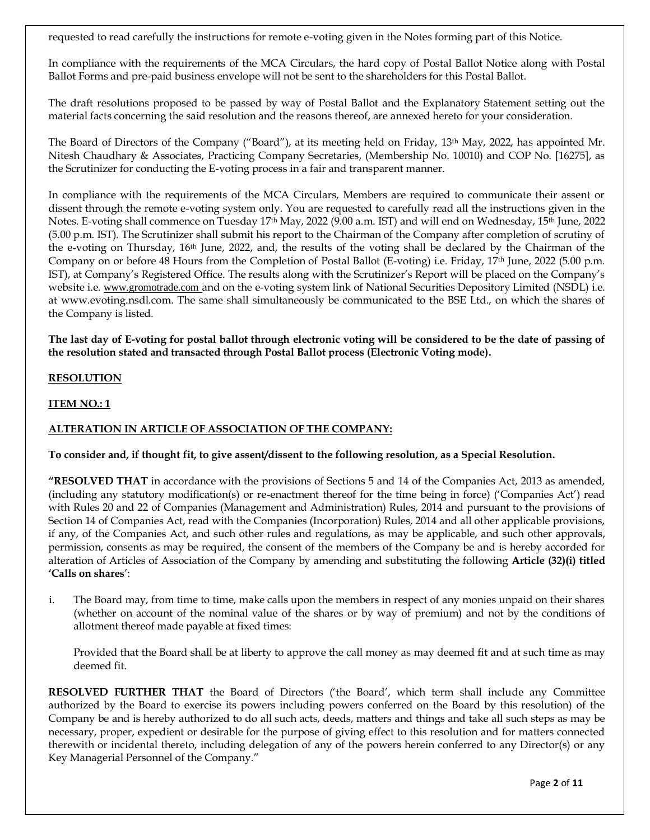requested to read carefully the instructions for remote e-voting given in the Notes forming part of this Notice.

In compliance with the requirements of the MCA Circulars, the hard copy of Postal Ballot Notice along with Postal Ballot Forms and pre-paid business envelope will not be sent to the shareholders for this Postal Ballot.

The draft resolutions proposed to be passed by way of Postal Ballot and the Explanatory Statement setting out the material facts concerning the said resolution and the reasons thereof, are annexed hereto for your consideration.

The Board of Directors of the Company ("Board"), at its meeting held on Friday, 13<sup>th</sup> May, 2022, has appointed Mr. Nitesh Chaudhary & Associates, Practicing Company Secretaries, (Membership No. 10010) and COP No. [16275], as the Scrutinizer for conducting the E-voting process in a fair and transparent manner.

In compliance with the requirements of the MCA Circulars, Members are required to communicate their assent or dissent through the remote e-voting system only. You are requested to carefully read all the instructions given in the Notes. E-voting shall commence on Tuesday 17th May, 2022 (9.00 a.m. IST) and will end on Wednesday, 15th June, 2022 (5.00 p.m. IST). The Scrutinizer shall submit his report to the Chairman of the Company after completion of scrutiny of the e-voting on Thursday, 16th June, 2022, and, the results of the voting shall be declared by the Chairman of the Company on or before 48 Hours from the Completion of Postal Ballot (E-voting) i.e. Friday, 17th June, 2022 (5.00 p.m. IST), at Company's Registered Office. The results along with the Scrutinizer's Report will be placed on the Company's website i.e. [www.gromotrade.com](http://www.gromotrade.com/) and on the e-voting system link of National Securities Depository Limited (NSDL) i.e. at www.evoting.nsdl.com. The same shall simultaneously be communicated to the BSE Ltd., on which the shares of the Company is listed.

**The last day of E-voting for postal ballot through electronic voting will be considered to be the date of passing of the resolution stated and transacted through Postal Ballot process (Electronic Voting mode).**

## **RESOLUTION**

## **ITEM NO.: 1**

## **ALTERATION IN ARTICLE OF ASSOCIATION OF THE COMPANY:**

## **To consider and, if thought fit, to give assent/dissent to the following resolution, as a Special Resolution.**

**"RESOLVED THAT** in accordance with the provisions of Sections 5 and 14 of the Companies Act, 2013 as amended, (including any statutory modification(s) or re-enactment thereof for the time being in force) ('Companies Act') read with Rules 20 and 22 of Companies (Management and Administration) Rules, 2014 and pursuant to the provisions of Section 14 of Companies Act, read with the Companies (Incorporation) Rules, 2014 and all other applicable provisions, if any, of the Companies Act, and such other rules and regulations, as may be applicable, and such other approvals, permission, consents as may be required, the consent of the members of the Company be and is hereby accorded for alteration of Articles of Association of the Company by amending and substituting the following **Article (32)(i) titled 'Calls on shares**':

i. The Board may, from time to time, make calls upon the members in respect of any monies unpaid on their shares (whether on account of the nominal value of the shares or by way of premium) and not by the conditions of allotment thereof made payable at fixed times:

Provided that the Board shall be at liberty to approve the call money as may deemed fit and at such time as may deemed fit.

**RESOLVED FURTHER THAT** the Board of Directors ('the Board', which term shall include any Committee authorized by the Board to exercise its powers including powers conferred on the Board by this resolution) of the Company be and is hereby authorized to do all such acts, deeds, matters and things and take all such steps as may be necessary, proper, expedient or desirable for the purpose of giving effect to this resolution and for matters connected therewith or incidental thereto, including delegation of any of the powers herein conferred to any Director(s) or any Key Managerial Personnel of the Company."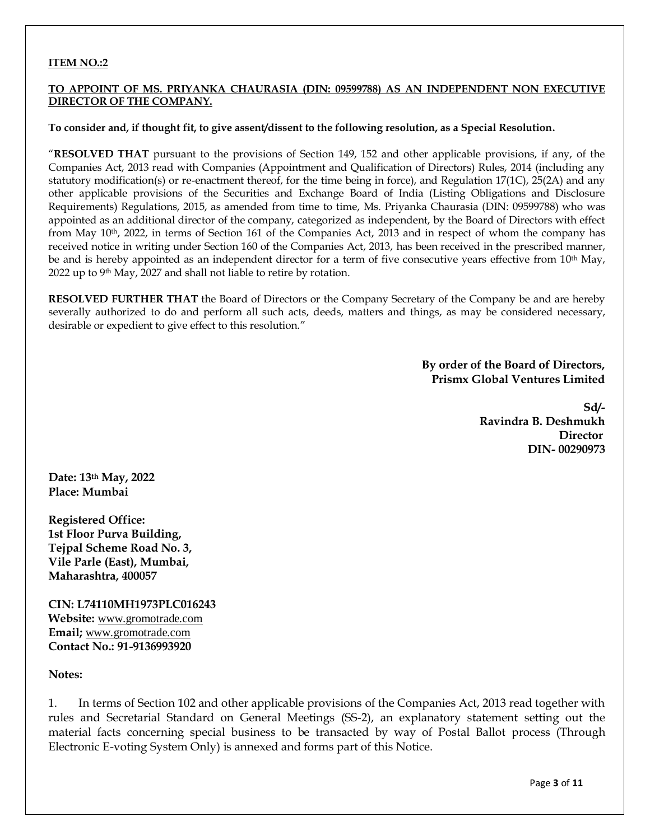### **ITEM NO.:2**

### **TO APPOINT OF MS. PRIYANKA CHAURASIA (DIN: 09599788) AS AN INDEPENDENT NON EXECUTIVE DIRECTOR OF THE COMPANY.**

#### **To consider and, if thought fit, to give assent/dissent to the following resolution, as a Special Resolution.**

"**RESOLVED THAT** pursuant to the provisions of Section 149, 152 and other applicable provisions, if any, of the Companies Act, 2013 read with Companies (Appointment and Qualification of Directors) Rules, 2014 (including any statutory modification(s) or re-enactment thereof, for the time being in force), and Regulation 17(1C), 25(2A) and any other applicable provisions of the Securities and Exchange Board of India (Listing Obligations and Disclosure Requirements) Regulations, 2015, as amended from time to time, Ms. Priyanka Chaurasia (DIN: 09599788) who was appointed as an additional director of the company, categorized as independent, by the Board of Directors with effect from May 10<sup>th</sup>, 2022, in terms of Section 161 of the Companies Act, 2013 and in respect of whom the company has received notice in writing under Section 160 of the Companies Act, 2013, has been received in the prescribed manner, be and is hereby appointed as an independent director for a term of five consecutive years effective from 10<sup>th</sup> May, 2022 up to  $9<sup>th</sup>$  May, 2027 and shall not liable to retire by rotation.

**RESOLVED FURTHER THAT** the Board of Directors or the Company Secretary of the Company be and are hereby severally authorized to do and perform all such acts, deeds, matters and things, as may be considered necessary, desirable or expedient to give effect to this resolution."

> **By order of the Board of Directors, Prismx Global Ventures Limited**

> > **Sd/- Ravindra B. Deshmukh Director DIN- 00290973**

**Date: 13th May, 2022 Place: Mumbai**

**Registered Office: 1st Floor Purva Building, Tejpal Scheme Road No. 3, Vile Parle (East), Mumbai, Maharashtra, 400057**

**CIN: L74110MH1973PLC016243 Website:** [www.gromotrade.com](http://www.gromotrade.com/) **Email;** [www.gromotrade.com](http://www.gromotrade.com/) **Contact No.: 91-9136993920**

### **Notes:**

1. In terms of Section 102 and other applicable provisions of the Companies Act, 2013 read together with rules and Secretarial Standard on General Meetings (SS-2), an explanatory statement setting out the material facts concerning special business to be transacted by way of Postal Ballot process (Through Electronic E-voting System Only) is annexed and forms part of this Notice.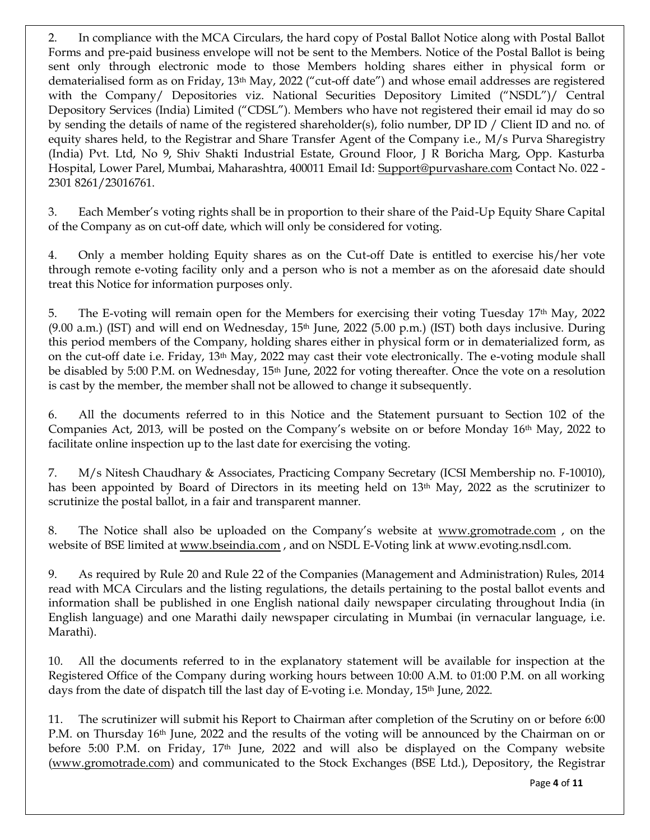2. In compliance with the MCA Circulars, the hard copy of Postal Ballot Notice along with Postal Ballot Forms and pre-paid business envelope will not be sent to the Members. Notice of the Postal Ballot is being sent only through electronic mode to those Members holding shares either in physical form or dematerialised form as on Friday, 13th May, 2022 ("cut-off date") and whose email addresses are registered with the Company/ Depositories viz. National Securities Depository Limited ("NSDL")/ Central Depository Services (India) Limited ("CDSL"). Members who have not registered their email id may do so by sending the details of name of the registered shareholder(s), folio number, DP ID / Client ID and no. of equity shares held, to the Registrar and Share Transfer Agent of the Company i.e., M/s Purva Sharegistry (India) Pvt. Ltd, No 9, Shiv Shakti Industrial Estate, Ground Floor, J R Boricha Marg, Opp. Kasturba Hospital, Lower Parel, Mumbai, Maharashtra, 400011 Email Id: [Support@purvashare.com](mailto:Support@purvashare.com) Contact No. 022 -2301 8261/23016761.

3. Each Member's voting rights shall be in proportion to their share of the Paid-Up Equity Share Capital of the Company as on cut-off date, which will only be considered for voting.

4. Only a member holding Equity shares as on the Cut-off Date is entitled to exercise his/her vote through remote e-voting facility only and a person who is not a member as on the aforesaid date should treat this Notice for information purposes only.

5. The E-voting will remain open for the Members for exercising their voting Tuesday 17th May, 2022  $(9.00 \text{ a.m.})$  (IST) and will end on Wednesday, 15<sup>th</sup> June, 2022 (5.00 p.m.) (IST) both days inclusive. During this period members of the Company, holding shares either in physical form or in dematerialized form, as on the cut-off date i.e. Friday, 13th May, 2022 may cast their vote electronically. The e-voting module shall be disabled by 5:00 P.M. on Wednesday, 15th June, 2022 for voting thereafter. Once the vote on a resolution is cast by the member, the member shall not be allowed to change it subsequently.

6. All the documents referred to in this Notice and the Statement pursuant to Section 102 of the Companies Act, 2013, will be posted on the Company's website on or before Monday 16th May, 2022 to facilitate online inspection up to the last date for exercising the voting.

7. M/s Nitesh Chaudhary & Associates, Practicing Company Secretary (ICSI Membership no. F-10010), has been appointed by Board of Directors in its meeting held on 13<sup>th</sup> May, 2022 as the scrutinizer to scrutinize the postal ballot, in a fair and transparent manner.

8. The Notice shall also be uploaded on the Company's website at [www.gromotrade.com](http://www.gromotrade.com/) , on the website of BSE limited a[t www.bseindia.com](http://www.bseindia.com/), and on NSDL E-Voting link at www.evoting.nsdl.com.

9. As required by Rule 20 and Rule 22 of the Companies (Management and Administration) Rules, 2014 read with MCA Circulars and the listing regulations, the details pertaining to the postal ballot events and information shall be published in one English national daily newspaper circulating throughout India (in English language) and one Marathi daily newspaper circulating in Mumbai (in vernacular language, i.e. Marathi).

10. All the documents referred to in the explanatory statement will be available for inspection at the Registered Office of the Company during working hours between 10:00 A.M. to 01:00 P.M. on all working days from the date of dispatch till the last day of E-voting i.e. Monday, 15th June, 2022.

11. The scrutinizer will submit his Report to Chairman after completion of the Scrutiny on or before 6:00 P.M. on Thursday 16<sup>th</sup> June, 2022 and the results of the voting will be announced by the Chairman on or before 5:00 P.M. on Friday, 17<sup>th</sup> June, 2022 and will also be displayed on the Company website [\(www.gromotrade.com\)](http://www.gromotrade.com/) and communicated to the Stock Exchanges (BSE Ltd.), Depository, the Registrar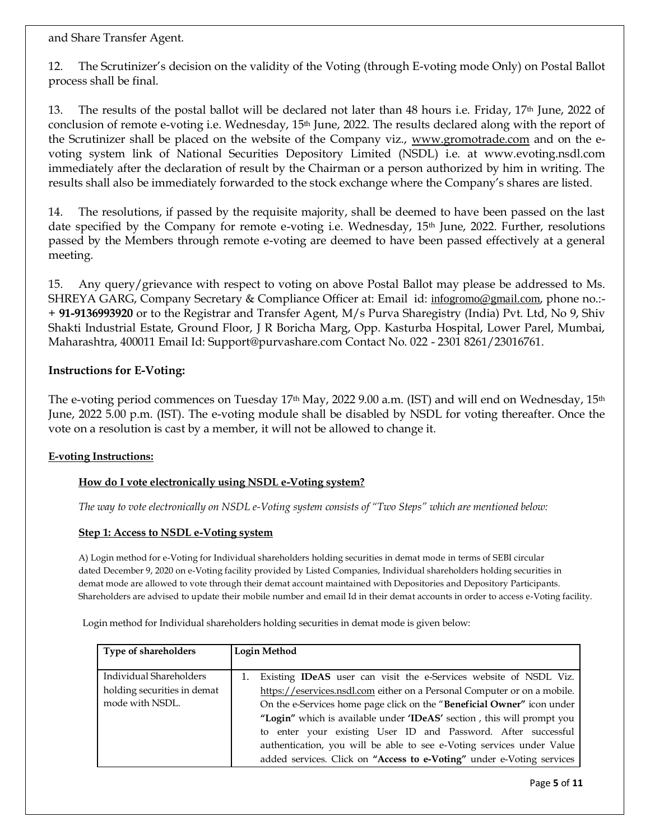and Share Transfer Agent.

12. The Scrutinizer's decision on the validity of the Voting (through E-voting mode Only) on Postal Ballot process shall be final.

13. The results of the postal ballot will be declared not later than 48 hours i.e. Friday, 17<sup>th</sup> June, 2022 of conclusion of remote e-voting i.e. Wednesday,  $15<sup>th</sup>$  June, 2022. The results declared along with the report of the Scrutinizer shall be placed on the website of the Company viz., [www.gromotrade.com](http://www.gromotrade.com/) and on the evoting system link of National Securities Depository Limited (NSDL) i.e. at www.evoting.nsdl.com immediately after the declaration of result by the Chairman or a person authorized by him in writing. The results shall also be immediately forwarded to the stock exchange where the Company's shares are listed.

14. The resolutions, if passed by the requisite majority, shall be deemed to have been passed on the last date specified by the Company for remote e-voting i.e. Wednesday, 15<sup>th</sup> June, 2022. Further, resolutions passed by the Members through remote e-voting are deemed to have been passed effectively at a general meeting.

15. Any query/grievance with respect to voting on above Postal Ballot may please be addressed to Ms. SHREYA GARG, Company Secretary & Compliance Officer at: Email id: [infogromo@gmail.com](mailto:infogromo@gmail.com), phone no.:- + **91-9136993920** or to the Registrar and Transfer Agent, M/s Purva Sharegistry (India) Pvt. Ltd, No 9, Shiv Shakti Industrial Estate, Ground Floor, J R Boricha Marg, Opp. Kasturba Hospital, Lower Parel, Mumbai, Maharashtra, 400011 Email Id: Support@purvashare.com Contact No. 022 - 2301 8261/23016761.

# **Instructions for E-Voting:**

The e-voting period commences on Tuesday  $17<sup>th</sup>$  May, 2022 9.00 a.m. (IST) and will end on Wednesday,  $15<sup>th</sup>$ June, 2022 5.00 p.m. (IST). The e-voting module shall be disabled by NSDL for voting thereafter. Once the vote on a resolution is cast by a member, it will not be allowed to change it.

# **E-voting Instructions:**

# **How do I vote electronically using NSDL e-Voting system?**

*The way to vote electronically on NSDL e-Voting system consists of "Two Steps" which are mentioned below:*

## **Step 1: Access to NSDL e-Voting system**

A) Login method for e-Voting for Individual shareholders holding securities in demat mode in terms of SEBI circular dated December 9, 2020 on e-Voting facility provided by Listed Companies, Individual shareholders holding securities in demat mode are allowed to vote through their demat account maintained with Depositories and Depository Participants. Shareholders are advised to update their mobile number and email Id in their demat accounts in order to access e-Voting facility.

Login method for Individual shareholders holding securities in demat mode is given below:

| Type of shareholders        | Login Method                                                             |  |
|-----------------------------|--------------------------------------------------------------------------|--|
|                             |                                                                          |  |
| Individual Shareholders     | Existing IDeAS user can visit the e-Services website of NSDL Viz.        |  |
| holding securities in demat | https://eservices.nsdl.com either on a Personal Computer or on a mobile. |  |
| mode with NSDL.             | On the e-Services home page click on the "Beneficial Owner" icon under   |  |
|                             | "Login" which is available under 'IDeAS' section, this will prompt you   |  |
|                             | to enter your existing User ID and Password. After successful            |  |
|                             | authentication, you will be able to see e-Voting services under Value    |  |
|                             | added services. Click on "Access to e-Voting" under e-Voting services    |  |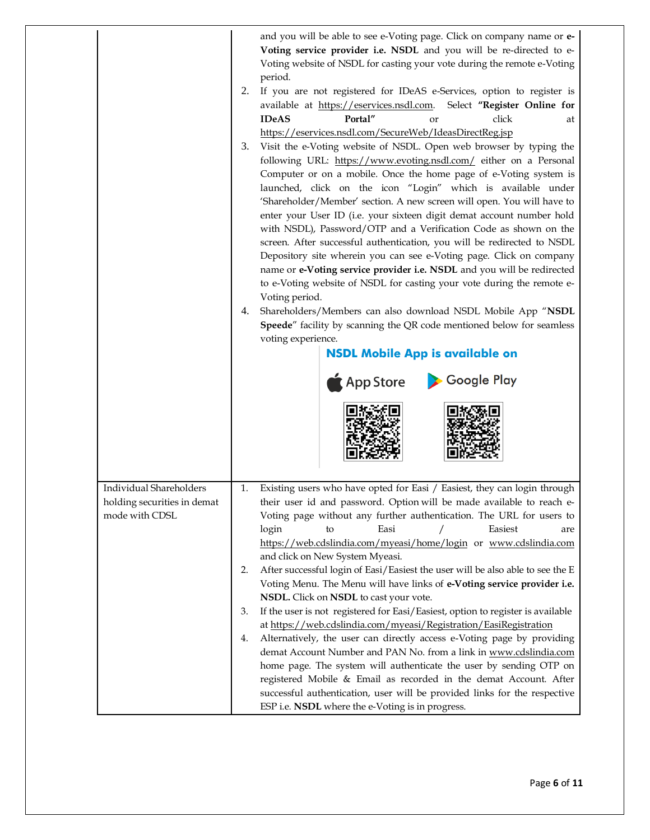|                                               | and you will be able to see e-Voting page. Click on company name or e-<br>Voting service provider i.e. NSDL and you will be re-directed to e-<br>Voting website of NSDL for casting your vote during the remote e-Voting<br>period.<br>2.<br>If you are not registered for IDeAS e-Services, option to register is<br>available at https://eservices.nsdl.com.<br>Select "Register Online for<br><b>IDeAS</b><br>Portal"<br>click<br>or<br>at<br>https://eservices.nsdl.com/SecureWeb/IdeasDirectReg.jsp<br>Visit the e-Voting website of NSDL. Open web browser by typing the<br>3.<br>following URL: https://www.evoting.nsdl.com/ either on a Personal<br>Computer or on a mobile. Once the home page of e-Voting system is<br>launched, click on the icon "Login" which is available under<br>'Shareholder/Member' section. A new screen will open. You will have to<br>enter your User ID (i.e. your sixteen digit demat account number hold<br>with NSDL), Password/OTP and a Verification Code as shown on the<br>screen. After successful authentication, you will be redirected to NSDL<br>Depository site wherein you can see e-Voting page. Click on company<br>name or e-Voting service provider i.e. NSDL and you will be redirected<br>to e-Voting website of NSDL for casting your vote during the remote e-<br>Voting period.<br>Shareholders/Members can also download NSDL Mobile App "NSDL<br>4.<br>Speede" facility by scanning the QR code mentioned below for seamless<br>voting experience.<br><b>NSDL Mobile App is available on</b><br>App Store Coogle Play |  |  |
|-----------------------------------------------|---------------------------------------------------------------------------------------------------------------------------------------------------------------------------------------------------------------------------------------------------------------------------------------------------------------------------------------------------------------------------------------------------------------------------------------------------------------------------------------------------------------------------------------------------------------------------------------------------------------------------------------------------------------------------------------------------------------------------------------------------------------------------------------------------------------------------------------------------------------------------------------------------------------------------------------------------------------------------------------------------------------------------------------------------------------------------------------------------------------------------------------------------------------------------------------------------------------------------------------------------------------------------------------------------------------------------------------------------------------------------------------------------------------------------------------------------------------------------------------------------------------------------------------------------------------------------------------|--|--|
| Individual Shareholders                       | Existing users who have opted for Easi / Easiest, they can login through<br>1.                                                                                                                                                                                                                                                                                                                                                                                                                                                                                                                                                                                                                                                                                                                                                                                                                                                                                                                                                                                                                                                                                                                                                                                                                                                                                                                                                                                                                                                                                                        |  |  |
| holding securities in demat<br>mode with CDSL | their user id and password. Option will be made available to reach e-<br>Voting page without any further authentication. The URL for users to                                                                                                                                                                                                                                                                                                                                                                                                                                                                                                                                                                                                                                                                                                                                                                                                                                                                                                                                                                                                                                                                                                                                                                                                                                                                                                                                                                                                                                         |  |  |
|                                               | Easiest<br>Easi<br>login<br>to<br>are<br>https://web.cdslindia.com/myeasi/home/login or www.cdslindia.com                                                                                                                                                                                                                                                                                                                                                                                                                                                                                                                                                                                                                                                                                                                                                                                                                                                                                                                                                                                                                                                                                                                                                                                                                                                                                                                                                                                                                                                                             |  |  |
|                                               | and click on New System Myeasi.                                                                                                                                                                                                                                                                                                                                                                                                                                                                                                                                                                                                                                                                                                                                                                                                                                                                                                                                                                                                                                                                                                                                                                                                                                                                                                                                                                                                                                                                                                                                                       |  |  |
|                                               | After successful login of Easi/Easiest the user will be also able to see the E<br>2.<br>Voting Menu. The Menu will have links of e-Voting service provider i.e.<br>NSDL. Click on NSDL to cast your vote.                                                                                                                                                                                                                                                                                                                                                                                                                                                                                                                                                                                                                                                                                                                                                                                                                                                                                                                                                                                                                                                                                                                                                                                                                                                                                                                                                                             |  |  |
|                                               |                                                                                                                                                                                                                                                                                                                                                                                                                                                                                                                                                                                                                                                                                                                                                                                                                                                                                                                                                                                                                                                                                                                                                                                                                                                                                                                                                                                                                                                                                                                                                                                       |  |  |
|                                               |                                                                                                                                                                                                                                                                                                                                                                                                                                                                                                                                                                                                                                                                                                                                                                                                                                                                                                                                                                                                                                                                                                                                                                                                                                                                                                                                                                                                                                                                                                                                                                                       |  |  |
|                                               | If the user is not registered for Easi/Easiest, option to register is available<br>3.                                                                                                                                                                                                                                                                                                                                                                                                                                                                                                                                                                                                                                                                                                                                                                                                                                                                                                                                                                                                                                                                                                                                                                                                                                                                                                                                                                                                                                                                                                 |  |  |
|                                               | at https://web.cdslindia.com/myeasi/Registration/EasiRegistration                                                                                                                                                                                                                                                                                                                                                                                                                                                                                                                                                                                                                                                                                                                                                                                                                                                                                                                                                                                                                                                                                                                                                                                                                                                                                                                                                                                                                                                                                                                     |  |  |
|                                               | Alternatively, the user can directly access e-Voting page by providing<br>4.<br>demat Account Number and PAN No. from a link in www.cdslindia.com                                                                                                                                                                                                                                                                                                                                                                                                                                                                                                                                                                                                                                                                                                                                                                                                                                                                                                                                                                                                                                                                                                                                                                                                                                                                                                                                                                                                                                     |  |  |
|                                               | home page. The system will authenticate the user by sending OTP on                                                                                                                                                                                                                                                                                                                                                                                                                                                                                                                                                                                                                                                                                                                                                                                                                                                                                                                                                                                                                                                                                                                                                                                                                                                                                                                                                                                                                                                                                                                    |  |  |
|                                               | registered Mobile & Email as recorded in the demat Account. After<br>successful authentication, user will be provided links for the respective                                                                                                                                                                                                                                                                                                                                                                                                                                                                                                                                                                                                                                                                                                                                                                                                                                                                                                                                                                                                                                                                                                                                                                                                                                                                                                                                                                                                                                        |  |  |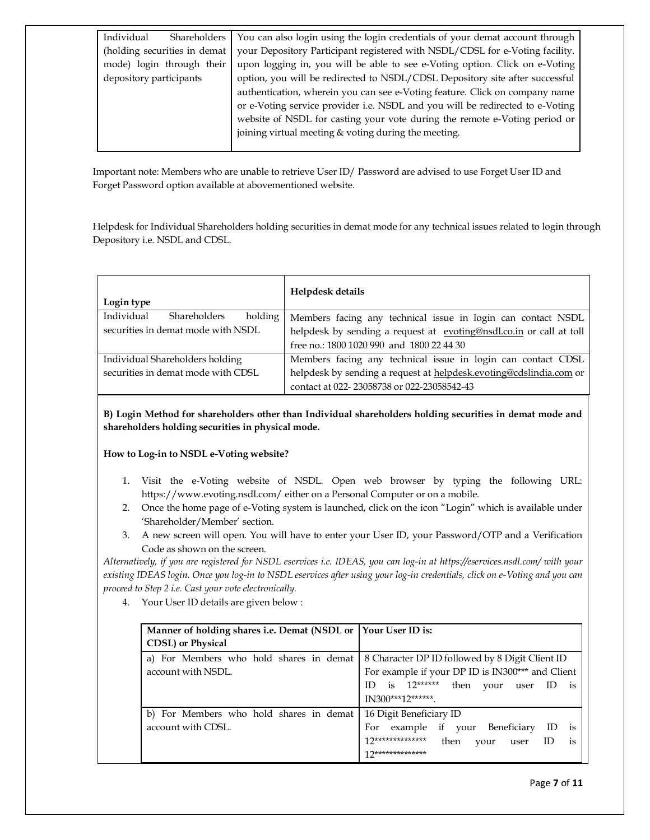| Individual                   | Shareholders | You can also login using the login credentials of your demat account through  |  |
|------------------------------|--------------|-------------------------------------------------------------------------------|--|
| (holding securities in demat |              | your Depository Participant registered with NSDL/CDSL for e-Voting facility.  |  |
| mode) login through their    |              | upon logging in, you will be able to see e-Voting option. Click on e-Voting   |  |
| depository participants      |              | option, you will be redirected to NSDL/CDSL Depository site after successful  |  |
|                              |              | authentication, wherein you can see e-Voting feature. Click on company name   |  |
|                              |              | or e-Voting service provider i.e. NSDL and you will be redirected to e-Voting |  |
|                              |              | website of NSDL for casting your vote during the remote e-Voting period or    |  |
|                              |              | joining virtual meeting & voting during the meeting.                          |  |
|                              |              |                                                                               |  |

Important note: Members who are unable to retrieve User ID/ Password are advised to use Forget User ID and Forget Password option available at abovementioned website.

Helpdesk for Individual Shareholders holding securities in demat mode for any technical issues related to login through Depository i.e. NSDL and CDSL.

| Login type                                   | Helpdesk details                                                    |
|----------------------------------------------|---------------------------------------------------------------------|
| Individual<br><b>Shareholders</b><br>holding | Members facing any technical issue in login can contact NSDL        |
| securities in demat mode with NSDL           | helpdesk by sending a request at evoting@nsdl.co.in or call at toll |
|                                              | free no.: 1800 1020 990 and 1800 22 44 30                           |
| Individual Shareholders holding              | Members facing any technical issue in login can contact CDSL        |
| securities in demat mode with CDSL           | helpdesk by sending a request at helpdesk.evoting@cdslindia.com or  |
|                                              | contact at 022-23058738 or 022-23058542-43                          |

**B) Login Method for shareholders other than Individual shareholders holding securities in demat mode and shareholders holding securities in physical mode.**

### **How to Log-in to NSDL e-Voting website?**

- 1. Visit the e-Voting website of NSDL. Open web browser by typing the following URL: <https://www.evoting.nsdl.com/> either on a Personal Computer or on a mobile.
- 2. Once the home page of e-Voting system is launched, click on the icon "Login" which is available under 'Shareholder/Member' section.
- 3. A new screen will open. You will have to enter your User ID, your Password/OTP and a Verification Code as shown on the screen.

*Alternatively, if you are registered for NSDL eservices i.e. IDEAS, you can log-in at<https://eservices.nsdl.com/> with your existing IDEAS login. Once you log-in to NSDL eservices after using your log-in credentials, click on e-Voting and you can proceed to Step 2 i.e. Cast your vote electronically.*

4. Your User ID details are given below :

| Manner of holding shares i.e. Demat (NSDL or Your User ID is:<br><b>CDSL</b> ) or Physical |                                                                                                                                                                                            |
|--------------------------------------------------------------------------------------------|--------------------------------------------------------------------------------------------------------------------------------------------------------------------------------------------|
| a) For Members who hold shares in demat<br>account with NSDL.                              | 8 Character DP ID followed by 8 Digit Client ID<br>For example if your DP ID is IN300*** and Client<br>is $12*****$<br>ID<br>then<br>vour<br>ID<br>user<br><b>1S</b><br>IN300***12*******. |
| b) For Members who hold shares in demat<br>account with CDSL.                              | 16 Digit Beneficiary ID<br>example if your Beneficiary<br>For<br>1S<br>17**************<br>then<br>ID<br>vour<br>user<br>1S<br>17**************                                            |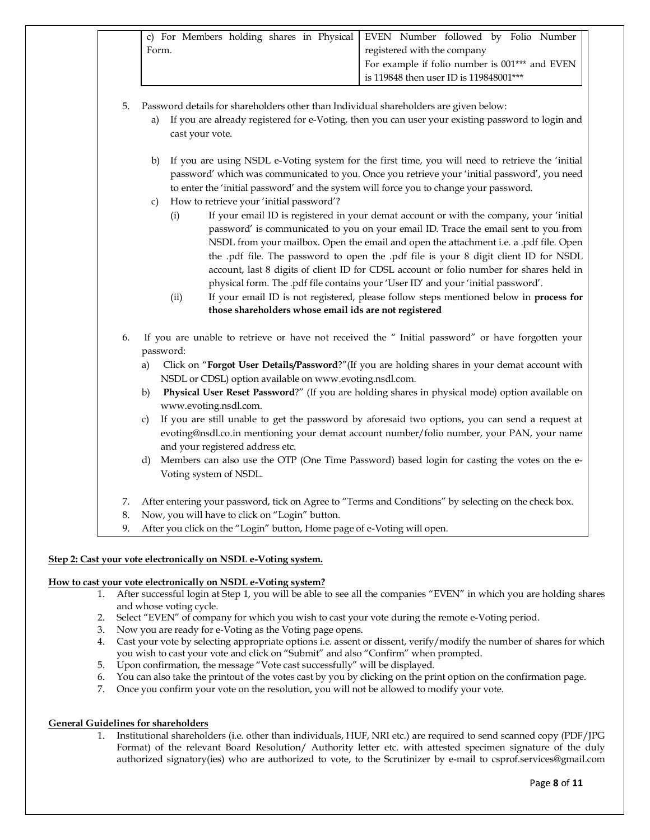|                | c) For Members holding shares in Physical<br>EVEN Number followed by Folio Number<br>registered with the company<br>Form.<br>For example if folio number is 001*** and EVEN<br>is 119848 then user ID is 119848001***                                                                                                                                                                                                                                                                                                                                                                                                                                                                                                                                                                                                                                                                                                                                                                                                                                                   |  |  |
|----------------|-------------------------------------------------------------------------------------------------------------------------------------------------------------------------------------------------------------------------------------------------------------------------------------------------------------------------------------------------------------------------------------------------------------------------------------------------------------------------------------------------------------------------------------------------------------------------------------------------------------------------------------------------------------------------------------------------------------------------------------------------------------------------------------------------------------------------------------------------------------------------------------------------------------------------------------------------------------------------------------------------------------------------------------------------------------------------|--|--|
| 5.             | Password details for shareholders other than Individual shareholders are given below:<br>If you are already registered for e-Voting, then you can user your existing password to login and<br>a)<br>cast your vote.                                                                                                                                                                                                                                                                                                                                                                                                                                                                                                                                                                                                                                                                                                                                                                                                                                                     |  |  |
|                | If you are using NSDL e-Voting system for the first time, you will need to retrieve the 'initial<br>b)<br>password' which was communicated to you. Once you retrieve your 'initial password', you need<br>to enter the 'initial password' and the system will force you to change your password.<br>How to retrieve your 'initial password'?<br>c)<br>If your email ID is registered in your demat account or with the company, your 'initial<br>(i)<br>password' is communicated to you on your email ID. Trace the email sent to you from<br>NSDL from your mailbox. Open the email and open the attachment i.e. a .pdf file. Open<br>the .pdf file. The password to open the .pdf file is your 8 digit client ID for NSDL<br>account, last 8 digits of client ID for CDSL account or folio number for shares held in<br>physical form. The .pdf file contains your 'User ID' and your 'initial password'.<br>(ii)<br>If your email ID is not registered, please follow steps mentioned below in process for<br>those shareholders whose email ids are not registered |  |  |
| 6.             | If you are unable to retrieve or have not received the " Initial password" or have forgotten your<br>password:<br>Click on "Forgot User Details/Password?" (If you are holding shares in your demat account with<br>a)<br>NSDL or CDSL) option available on www.evoting.nsdl.com.<br>Physical User Reset Password?" (If you are holding shares in physical mode) option available on<br>b)<br>www.evoting.nsdl.com.<br>If you are still unable to get the password by aforesaid two options, you can send a request at<br>C)<br>evoting@nsdl.co.in mentioning your demat account number/folio number, your PAN, your name<br>and your registered address etc.<br>Members can also use the OTP (One Time Password) based login for casting the votes on the e-<br>d)<br>Voting system of NSDL.                                                                                                                                                                                                                                                                           |  |  |
| 7.<br>8.<br>9. | After entering your password, tick on Agree to "Terms and Conditions" by selecting on the check box.<br>Now, you will have to click on "Login" button.<br>After you click on the "Login" button, Home page of e-Voting will open.                                                                                                                                                                                                                                                                                                                                                                                                                                                                                                                                                                                                                                                                                                                                                                                                                                       |  |  |

# **Step 2: Cast your vote electronically on NSDL e-Voting system.**

#### **How to cast your vote electronically on NSDL e-Voting system?**

- 1. After successful login at Step 1, you will be able to see all the companies "EVEN" in which you are holding shares and whose voting cycle.
- 2. Select "EVEN" of company for which you wish to cast your vote during the remote e-Voting period.
- 3. Now you are ready for e-Voting as the Voting page opens.
- 4. Cast your vote by selecting appropriate options i.e. assent or dissent, verify/modify the number of shares for which you wish to cast your vote and click on "Submit" and also "Confirm" when prompted.
- 5. Upon confirmation, the message "Vote cast successfully" will be displayed.
- 6. You can also take the printout of the votes cast by you by clicking on the print option on the confirmation page.
- 7. Once you confirm your vote on the resolution, you will not be allowed to modify your vote.

### **General Guidelines for shareholders**

1. Institutional shareholders (i.e. other than individuals, HUF, NRI etc.) are required to send scanned copy (PDF/JPG Format) of the relevant Board Resolution/ Authority letter etc. with attested specimen signature of the duly authorized signatory(ies) who are authorized to vote, to the Scrutinizer by e-mail to csprof.services@gmail.com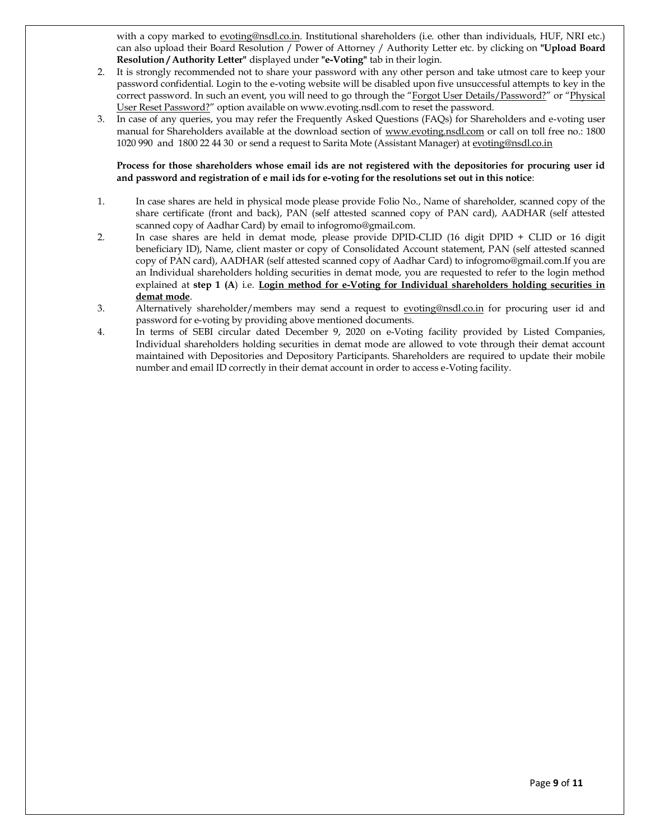with a copy marked to [evoting@nsdl.co.in.](mailto:evoting@nsdl.co.in) Institutional shareholders (i.e. other than individuals, HUF, NRI etc.) can also upload their Board Resolution / Power of Attorney / Authority Letter etc. by clicking on **"Upload Board Resolution / Authority Letter"** displayed under **"e-Voting"** tab in their login.

- 2. It is strongly recommended not to share your password with any other person and take utmost care to keep your password confidential. Login to the e-voting website will be disabled upon five unsuccessful attempts to key in the correct password. In such an event, you will need to go through the "[Forgot User Details/Password?](https://www.evoting.nsdl.com/eVotingWeb/commonhtmls/NewUser.jsp)" or "Physical [User Reset Password?](https://www.evoting.nsdl.com/eVotingWeb/commonhtmls/PhysicalUser.jsp)" option available on www.evoting.nsdl.com to reset the password.
- 3. In case of any queries, you may refer the Frequently Asked Questions (FAQs) for Shareholders and e-voting user manual for Shareholders available at the download section of [www.evoting.nsdl.com](http://www.evoting.nsdl.com/) or call on toll free no.: 1800 1020 990 and 1800 22 44 30 or send a request to Sarita Mote (Assistant Manager) a[t evoting@nsdl.co.in](mailto:evoting@nsdl.co.in)

#### **Process for those shareholders whose email ids are not registered with the depositories for procuring user id and password and registration of e mail ids for e-voting for the resolutions set out in this notice**:

- 1. In case shares are held in physical mode please provide Folio No., Name of shareholder, scanned copy of the share certificate (front and back), PAN (self attested scanned copy of PAN card), AADHAR (self attested scanned copy of Aadhar Card) by email to infogromo@gmail.com.
- 2. In case shares are held in demat mode, please provide DPID-CLID (16 digit DPID + CLID or 16 digit beneficiary ID), Name, client master or copy of Consolidated Account statement, PAN (self attested scanned copy of PAN card), AADHAR (self attested scanned copy of Aadhar Card) to infogromo@gmail.com.If you are an Individual shareholders holding securities in demat mode, you are requested to refer to the login method explained at **step 1 (A)** i.e. **Login method for e-Voting for Individual shareholders holding securities in demat mode**.
- 3. Alternatively shareholder/members may send a request to [evoting@nsdl.co.in](mailto:evoting@nsdl.co.in) for procuring user id and password for e-voting by providing above mentioned documents.
- 4. In terms of SEBI circular dated December 9, 2020 on e-Voting facility provided by Listed Companies, Individual shareholders holding securities in demat mode are allowed to vote through their demat account maintained with Depositories and Depository Participants. Shareholders are required to update their mobile number and email ID correctly in their demat account in order to access e-Voting facility.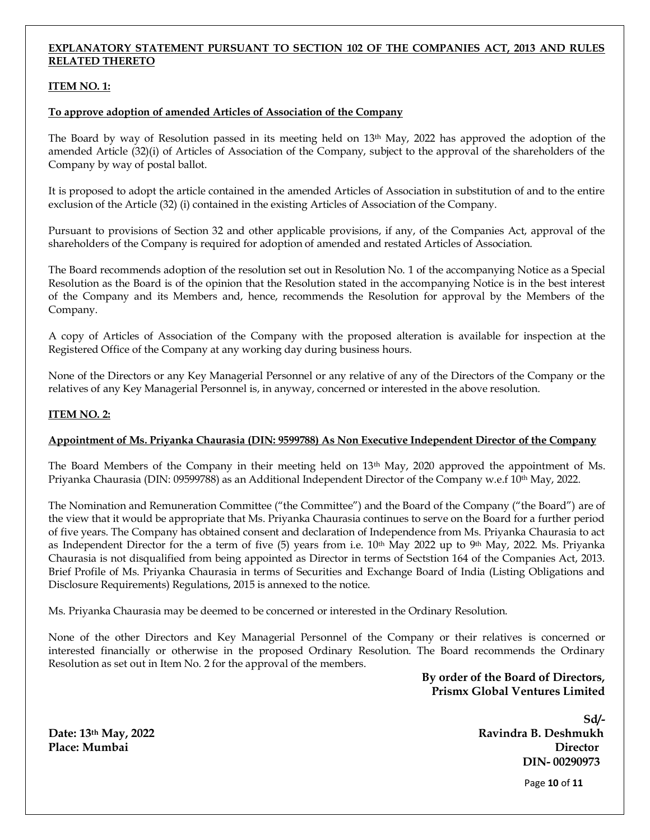## **EXPLANATORY STATEMENT PURSUANT TO SECTION 102 OF THE COMPANIES ACT, 2013 AND RULES RELATED THERETO**

## **ITEM NO. 1:**

### **To approve adoption of amended Articles of Association of the Company**

The Board by way of Resolution passed in its meeting held on 13th May, 2022 has approved the adoption of the amended Article (32)(i) of Articles of Association of the Company, subject to the approval of the shareholders of the Company by way of postal ballot.

It is proposed to adopt the article contained in the amended Articles of Association in substitution of and to the entire exclusion of the Article (32) (i) contained in the existing Articles of Association of the Company.

Pursuant to provisions of Section 32 and other applicable provisions, if any, of the Companies Act, approval of the shareholders of the Company is required for adoption of amended and restated Articles of Association.

The Board recommends adoption of the resolution set out in Resolution No. 1 of the accompanying Notice as a Special Resolution as the Board is of the opinion that the Resolution stated in the accompanying Notice is in the best interest of the Company and its Members and, hence, recommends the Resolution for approval by the Members of the Company.

A copy of Articles of Association of the Company with the proposed alteration is available for inspection at the Registered Office of the Company at any working day during business hours.

None of the Directors or any Key Managerial Personnel or any relative of any of the Directors of the Company or the relatives of any Key Managerial Personnel is, in anyway, concerned or interested in the above resolution.

## **ITEM NO. 2:**

### **Appointment of Ms. Priyanka Chaurasia (DIN: 9599788) As Non Executive Independent Director of the Company**

The Board Members of the Company in their meeting held on 13<sup>th</sup> May, 2020 approved the appointment of Ms. Priyanka Chaurasia (DIN: 09599788) as an Additional Independent Director of the Company w.e.f 10th May, 2022.

The Nomination and Remuneration Committee ("the Committee") and the Board of the Company ("the Board") are of the view that it would be appropriate that Ms. Priyanka Chaurasia continues to serve on the Board for a further period of five years. The Company has obtained consent and declaration of Independence from Ms. Priyanka Chaurasia to act as Independent Director for the a term of five (5) years from i.e. 10<sup>th</sup> May 2022 up to 9<sup>th</sup> May, 2022. Ms. Priyanka Chaurasia is not disqualified from being appointed as Director in terms of Sectstion 164 of the Companies Act, 2013. Brief Profile of Ms. Priyanka Chaurasia in terms of Securities and Exchange Board of India (Listing Obligations and Disclosure Requirements) Regulations, 2015 is annexed to the notice.

Ms. Priyanka Chaurasia may be deemed to be concerned or interested in the Ordinary Resolution.

None of the other Directors and Key Managerial Personnel of the Company or their relatives is concerned or interested financially or otherwise in the proposed Ordinary Resolution. The Board recommends the Ordinary Resolution as set out in Item No. 2 for the approval of the members.

> **By order of the Board of Directors, Prismx Global Ventures Limited**

**Sd/- Date: 13th May, 2022 Ravindra B. Deshmukh Place: Mumbai Director DIN- 00290973**

Page **10** of **11**